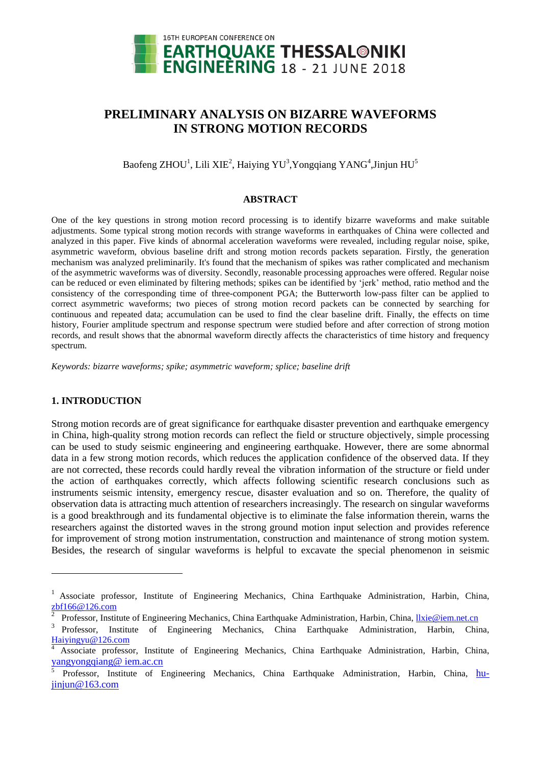

# **PRELIMINARY ANALYSIS ON BIZARRE WAVEFORMS IN STRONG MOTION RECORDS**

Baofeng ZHOU<sup>1</sup>, Lili XIE<sup>2</sup>, Haiying YU<sup>3</sup>, Yongqiang YANG<sup>4</sup>, Jinjun HU<sup>5</sup>

## **ABSTRACT**

One of the key questions in strong motion record processing is to identify bizarre waveforms and make suitable adjustments. Some typical strong motion records with strange waveforms in earthquakes of China were collected and analyzed in this paper. Five kinds of abnormal acceleration waveforms were revealed, including regular noise, spike, asymmetric waveform, obvious baseline drift and strong motion records packets separation. Firstly, the generation mechanism was analyzed preliminarily. It's found that the mechanism of spikes was rather complicated and mechanism of the asymmetric waveforms was of diversity. Secondly, reasonable processing approaches were offered. Regular noise can be reduced or even eliminated by filtering methods; spikes can be identified by 'jerk' method, ratio method and the consistency of the corresponding time of three-component PGA; the Butterworth low-pass filter can be applied to correct asymmetric waveforms; two pieces of strong motion record packets can be connected by searching for continuous and repeated data; accumulation can be used to find the clear baseline drift. Finally, the effects on time history, Fourier amplitude spectrum and response spectrum were studied before and after correction of strong motion records, and result shows that the abnormal waveform directly affects the characteristics of time history and frequency spectrum.

*Keywords: bizarre waveforms; spike; asymmetric waveform; splice; baseline drift*

## **1. INTRODUCTION**

1

Strong motion records are of great significance for earthquake disaster prevention and earthquake emergency in China, high-quality strong motion records can reflect the field or structure objectively, simple processing can be used to study seismic engineering and engineering earthquake. However, there are some abnormal data in a few strong motion records, which reduces the application confidence of the observed data. If they are not corrected, these records could hardly reveal the vibration information of the structure or field under the action of earthquakes correctly, which affects following scientific research conclusions such as instruments seismic intensity, emergency rescue, disaster evaluation and so on. Therefore, the quality of observation data is attracting much attention of researchers increasingly. The research on singular waveforms is a good breakthrough and its fundamental objective is to eliminate the false information therein, warns the researchers against the distorted waves in the strong ground motion input selection and provides reference for improvement of strong motion instrumentation, construction and maintenance of strong motion system. Besides, the research of singular waveforms is helpful to excavate the special phenomenon in seismic

<sup>&</sup>lt;sup>1</sup> Associate professor, Institute of Engineering Mechanics, China Earthquake Administration, Harbin, China,  $\frac{\text{zbf166@126.com}}{2}$  $\frac{\text{zbf166@126.com}}{2}$  $\frac{\text{zbf166@126.com}}{2}$ 

Professor, Institute of Engineering Mechanics, China Earthquake Administration, Harbin, China, llxie@iem.net.cn

<sup>3</sup> Professor, Institute of Engineering Mechanics, China Earthquake Administration, Harbin, China, Haiyingyu@126.com

<sup>4</sup> Associate professor, Institute of Engineering Mechanics, China Earthquake Administration, Harbin, China, yangyongqiang@ iem.ac.cn

<sup>5</sup> Professor, Institute of Engineering Mechanics, China Earthquake Administration, Harbin, China, hujinjun@163.com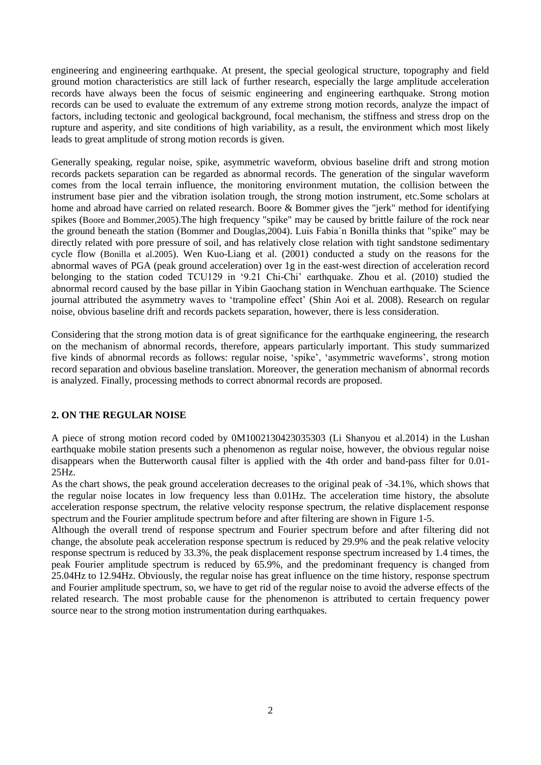engineering and engineering earthquake. At present, the special geological structure, topography and field ground motion characteristics are still lack of further research, especially the large amplitude acceleration records have always been the focus of seismic engineering and engineering earthquake. Strong motion records can be used to evaluate the extremum of any extreme strong motion records, analyze the impact of factors, including tectonic and geological background, focal mechanism, the stiffness and stress drop on the rupture and asperity, and site conditions of high variability, as a result, the environment which most likely leads to great amplitude of strong motion records is given.

Generally speaking, regular noise, spike, asymmetric waveform, obvious baseline drift and strong motion records packets separation can be regarded as abnormal records. The generation of the singular waveform comes from the local terrain influence, the monitoring environment mutation, the collision between the instrument base pier and the vibration isolation trough, the strong motion instrument, etc.Some scholars at home and abroad have carried on related research. Boore & Bommer gives the "jerk" method for identifying spikes (Boore and Bommer,2005).The high frequency "spike" may be caused by brittle failure of the rock near the ground beneath the station (Bommer and Douglas,2004). Luis Fabia´n Bonilla thinks that "spike" may be directly related with pore pressure of soil, and has relatively close relation with tight sandstone sedimentary cycle flow (Bonilla et al.2005). Wen Kuo-Liang et al. (2001) conducted a study on the reasons for the abnormal waves of PGA (peak ground acceleration) over 1g in the east-west direction of acceleration record belonging to the station coded TCU129 in '9.21 Chi-Chi' earthquake. Zhou et al. (2010) studied the abnormal record caused by the base pillar in Yibin Gaochang station in Wenchuan earthquake. The Science journal attributed the [asymmetry](file:///J:/Documents%20and%20Settings/Administrator/Local%20Settings/Application%20Data/Yodao/DeskDict/frame/20141228160132/javascript:void(0);) waves to ['trampoline](file:///J:/Documents%20and%20Settings/Administrator/Local%20Settings/Application%20Data/Yodao/DeskDict/frame/20141228160132/javascript:void(0);) effect' [\(Shin Aoi](http://www.sciencemag.org/search?author1=Shin+Aoi&sortspec=date&submit=Submit) et al. 2008). Research on regular noise, obvious baseline drift and records packets separation, however, there is less consideration.

Considering that the strong motion data is of great significance for the earthquake engineering, the research on the mechanism of abnormal records, therefore, appears particularly important. This study summarized five kinds of abnormal records as follows: regular noise, 'spike', 'asymmetric waveforms', strong motion record separation and obvious baseline translation. Moreover, the generation mechanism of abnormal records is analyzed. Finally, processing methods to correct abnormal records are proposed.

## **2. ON THE REGULAR NOISE**

A piece of strong motion record coded by 0M1002130423035303 (Li Shanyou et al.2014) in the Lushan earthquake mobile station presents such a phenomenon as regular noise, however, the obvious regular noise disappears when the Butterworth causal filter is applied with the 4th order and band-pass filter for 0.01- 25Hz.

As the chart shows, the peak ground acceleration decreases to the original peak of -34.1%, which shows that the regular noise locates in low frequency less than 0.01Hz. The acceleration time history, the absolute acceleration response spectrum, the relative velocity response spectrum, the relative displacement response spectrum and the Fourier amplitude spectrum before and after filtering are shown in Figure 1-5.

Although the overall trend of response spectrum and Fourier spectrum before and after filtering did not change, the absolute peak acceleration response spectrum is reduced by 29.9% and the peak relative velocity response spectrum is reduced by 33.3%, the peak displacement response spectrum increased by 1.4 times, the peak Fourier amplitude spectrum is reduced by 65.9%, and the predominant frequency is changed from 25.04Hz to 12.94Hz. Obviously, the regular noise has great influence on the time history, response spectrum and Fourier amplitude spectrum, so, we have to get rid of the regular noise to avoid the adverse effects of the related research. The most probable cause for the phenomenon is attributed to certain frequency power source near to the strong motion instrumentation during earthquakes.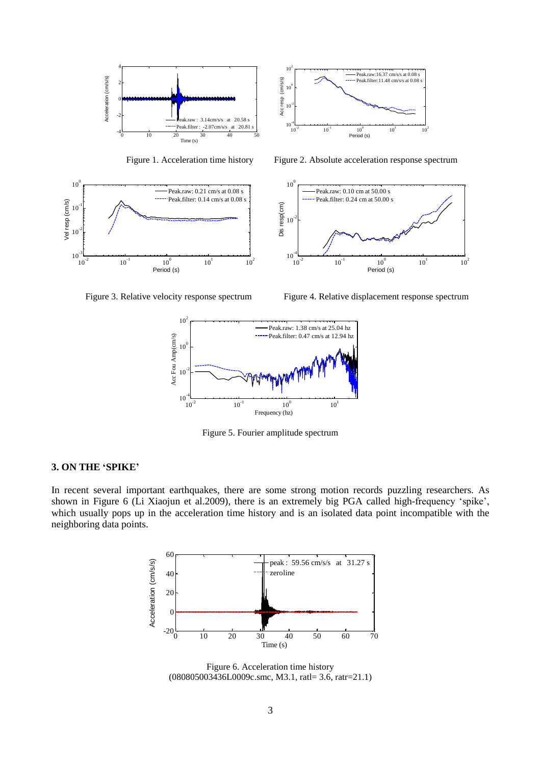







Figure 1. Acceleration time history Figure 2. Absolute acceleration response spectrum



Figure 3. Relative velocity response spectrum Figure 4. Relative displacement response spectrum



Figure 5. Fourier amplitude spectrum

## **3. ON THE 'SPIKE'**

In recent several important earthquakes, there are some strong motion records puzzling researchers. As shown in Figure 6 (Li Xiaojun et al.2009), there is an extremely big PGA called high-frequency 'spike', which usually pops up in the acceleration time history and is an isolated data point incompatible with the neighboring data points.



Figure 6. Acceleration time history (080805003436L0009c.smc, M3.1, ratl= 3.6, ratr=21.1)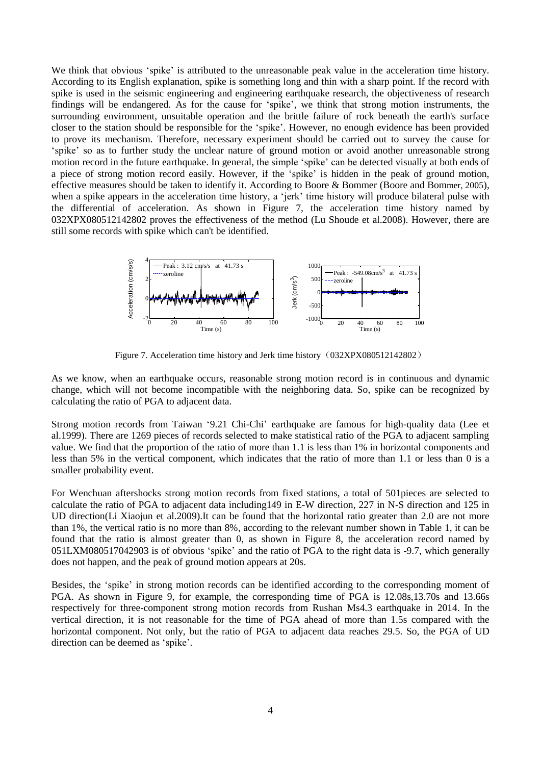We think that obvious 'spike' is attributed to the unreasonable peak value in the acceleration time history. According to its English explanation, spike is something long and thin with a sharp point. If the record with spike is used in the seismic engineering and engineering earthquake research, the objectiveness of research findings will be endangered. As for the cause for 'spike', we think that strong motion instruments, the surrounding environment, unsuitable operation and the brittle failure of rock beneath the earth's surface closer to the station should be responsible for the 'spike'. However, no enough evidence has been provided to prove its mechanism. Therefore, necessary experiment should be carried out to survey the cause for 'spike' so as to further study the unclear nature of ground motion or avoid another unreasonable strong motion record in the future earthquake. In general, the simple 'spike' can be detected visually at both ends of a piece of strong motion record easily. However, if the 'spike' is hidden in the peak of ground motion, effective measures should be taken to identify it. According to Boore & Bommer (Boore and Bommer, 2005), when a spike appears in the acceleration time history, a 'jerk' time history will produce bilateral pulse with the differential of acceleration. As shown in Figure 7, the acceleration time history named by 032XPX080512142802 proves the effectiveness of the method (Lu Shoude et al.2008). However, there are still some records with spike which can't be identified.



Figure 7. Acceleration time history and Jerk time history (032XPX080512142802)

As we know, when an earthquake occurs, reasonable strong motion record is in continuous and dynamic change, which will not become incompatible with the neighboring data. So, spike can be recognized by calculating the ratio of PGA to adjacent data.

Strong motion records from Taiwan '9.21 Chi-Chi' earthquake are famous for high-quality data (Lee et al.1999). There are 1269 pieces of records selected to make statistical ratio of the PGA to adjacent sampling value. We find that the proportion of the ratio of more than 1.1 is less than 1% in horizontal components and less than 5% in the vertical component, which indicates that the ratio of more than 1.1 or less than 0 is a smaller probability event.

For Wenchuan aftershocks strong motion records from fixed stations, a total of 501pieces are selected to calculate the ratio of PGA to adjacent data including149 in E-W direction, 227 in N-S direction and 125 in UD direction(Li Xiaojun et al.2009).It can be found that the horizontal ratio greater than 2.0 are not more than 1%, the vertical ratio is no more than 8%, according to the relevant number shown in Table 1, it can be found that the ratio is almost greater than 0, as shown in Figure 8, the acceleration record named by 051LXM080517042903 is of obvious 'spike' and the ratio of PGA to the right data is -9.7, which generally does not happen, and the peak of ground motion appears at 20s.

Besides, the 'spike' in strong motion records can be identified according to the corresponding moment of PGA. As shown in Figure 9, for example, the corresponding time of PGA is 12.08s,13.70s and 13.66s respectively for three-component strong motion records from Rushan Ms4.3 earthquake in 2014. In the vertical direction, it is not reasonable for the time of PGA ahead of more than 1.5s compared with the horizontal component. Not only, but the ratio of PGA to adjacent data reaches 29.5. So, the PGA of UD direction can be deemed as 'spike'.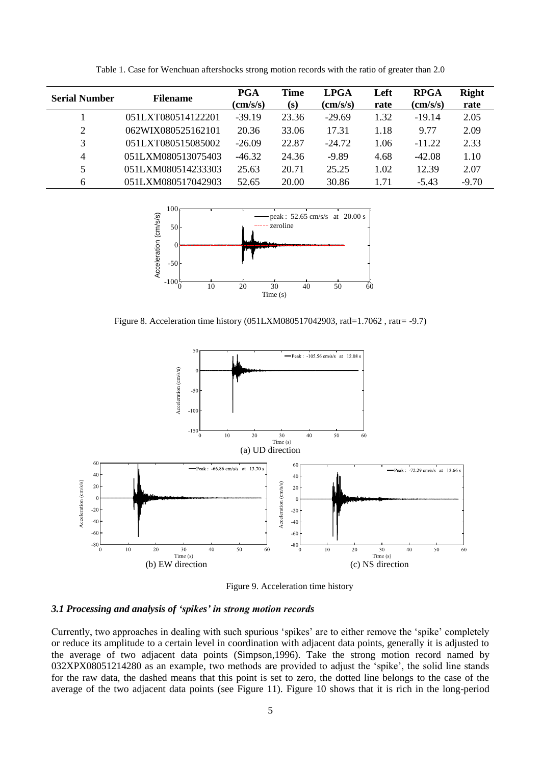| <b>Serial Number</b> | <b>Filename</b>    | PGA<br>$\text{(cm/s/s)}$ | Time<br>(s) | <b>LPGA</b><br>$\text{(cm/s/s)}$ | Left<br>rate | <b>RPGA</b><br>$\text{(cm/s/s)}$ | <b>Right</b><br>rate |
|----------------------|--------------------|--------------------------|-------------|----------------------------------|--------------|----------------------------------|----------------------|
|                      | 051LXT080514122201 | $-39.19$                 | 23.36       | $-29.69$                         | 1.32         | $-19.14$                         | 2.05                 |
| 2                    | 062WIX080525162101 | 20.36                    | 33.06       | 17.31                            | 1.18         | 9.77                             | 2.09                 |
| 3                    | 051LXT080515085002 | $-26.09$                 | 22.87       | $-24.72$                         | 1.06         | $-11.22$                         | 2.33                 |
| $\overline{4}$       | 051LXM080513075403 | $-46.32$                 | 24.36       | $-9.89$                          | 4.68         | $-42.08$                         | 1.10                 |
| 5                    | 051LXM080514233303 | 25.63                    | 20.71       | 25.25                            | 1.02         | 12.39                            | 2.07                 |
| 6                    | 051LXM080517042903 | 52.65                    | 20.00       | 30.86                            | 1.71         | $-5.43$                          | $-9.70$              |

Table 1. Case for Wenchuan aftershocks strong motion records with the ratio of greater than 2.0



Figure 8. Acceleration time history (051LXM080517042903, ratl=1.7062 , ratr= -9.7)



Figure 9. Acceleration time history

#### *3.1 Processing and analysis of 'spikes' in strong motion records*

Currently, two approaches in dealing with such spurious 'spikes' are to either remove the 'spike' completely or reduce its amplitude to a certain level in coordination with adjacent data points, generally it is adjusted to the average of two adjacent data points (Simpson,1996). Take the strong motion record named by 032XPX08051214280 as an example, two methods are provided to adjust the 'spike', the solid line stands for the raw data, the dashed means that this point is set to zero, the dotted line belongs to the case of the average of the two adjacent data points (see Figure 11). Figure 10 shows that it is rich in the long-period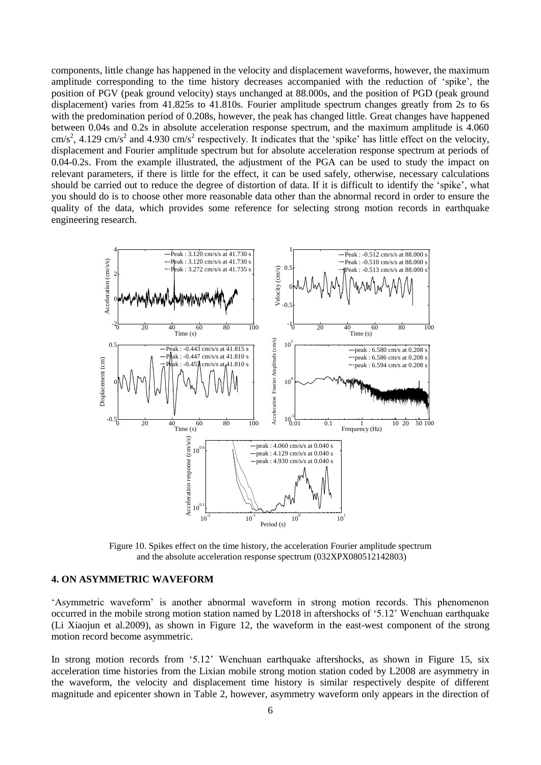components, little change has happened in the velocity and displacement waveforms, however, the maximum amplitude corresponding to the time history decreases accompanied with the reduction of 'spike', the position of PGV (peak ground velocity) stays unchanged at 88.000s, and the position of PGD (peak ground displacement) varies from 41.825s to 41.810s. Fourier amplitude spectrum changes greatly from 2s to 6s with the predomination period of 0.208s, however, the peak has changed little. Great changes have happened between 0.04s and 0.2s in absolute acceleration response spectrum, and the maximum amplitude is 4.060  $\text{cm/s}^2$ , 4.129 cm/s<sup>2</sup> and 4.930 cm/s<sup>2</sup> respectively. It indicates that the 'spike' has little effect on the velocity, displacement and Fourier amplitude spectrum but for absolute acceleration response spectrum at periods of 0.04-0.2s. From the example illustrated, the adjustment of the PGA can be used to study the impact on relevant parameters, if there is little for the effect, it can be used safely, otherwise, necessary calculations should be carried out to reduce the degree of distortion of data. If it is difficult to identify the 'spike', what you should do is to choose other more reasonable data other than the abnormal record in order to ensure the quality of the data, which provides some reference for selecting strong motion records in earthquake engineering research.



Figure 10. Spikes effect on the time history, the acceleration Fourier amplitude spectrum and the absolute acceleration response spectrum (032XPX080512142803)

#### **4. ON ASYMMETRIC WAVEFORM**

'Asymmetric waveform' is another abnormal waveform in strong motion records. This phenomenon occurred in the mobile strong motion station named by L2018 in aftershocks of '5.12' Wenchuan earthquake (Li Xiaojun et al.2009), as shown in Figure 12, the waveform in the east-west component of the strong motion record become asymmetric.

In strong motion records from '5.12' Wenchuan earthquake aftershocks, as shown in Figure 15, six acceleration time histories from the Lixian mobile strong motion station coded by L2008 are asymmetry in the waveform, the velocity and displacement time history is similar respectively despite of different magnitude and epicenter shown in Table 2, however, asymmetry waveform only appears in the direction of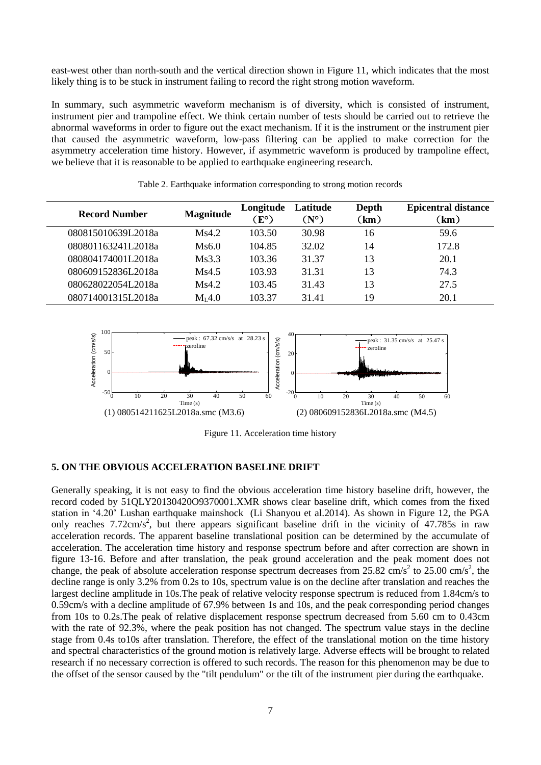east-west other than north-south and the vertical direction shown in Figure 11, which indicates that the most likely thing is to be stuck in instrument failing to record the right strong motion waveform.

In summary, such asymmetric waveform mechanism is of diversity, which is consisted of instrument, instrument pier and trampoline effect. We think certain number of tests should be carried out to retrieve the abnormal waveforms in order to figure out the exact mechanism. If it is the instrument or the instrument pier that caused the asymmetric waveform, low-pass filtering can be applied to make correction for the asymmetry acceleration time history. However, if asymmetric waveform is produced by trampoline effect, we believe that it is reasonable to be applied to earthquake engineering research.

| <b>Record Number</b> | <b>Magnitude</b> | Longitude<br>$E^{\circ}$ ) | Latitude<br>$(N^{\circ})$ | Depth<br>km) | <b>Epicentral distance</b><br>(km) |
|----------------------|------------------|----------------------------|---------------------------|--------------|------------------------------------|
| 080815010639L2018a   | Ms4.2            | 103.50                     | 30.98                     | 16           | 59.6                               |
| 080801163241L2018a   | Ms6.0            | 104.85                     | 32.02                     | 14           | 172.8                              |
| 080804174001L2018a   | Ms3.3            | 103.36                     | 31.37                     | 13           | 20.1                               |
| 080609152836L2018a   | Ms4.5            | 103.93                     | 31.31                     | 13           | 74.3                               |
| 080628022054L2018a   | Ms4.2            | 103.45                     | 31.43                     | 13           | 27.5                               |
| 080714001315L2018a   | $M_I 4.0$        | 103.37                     | 31.41                     | 19           | 20.1                               |

Table 2. Earthquake information corresponding to strong motion records



Figure 11. Acceleration time history

## **5. ON THE OBVIOUS ACCELERATION BASELINE DRIFT**

Generally speaking, it is not easy to find the obvious acceleration time history baseline drift, however, the record coded by 51QLY20130420O9370001.XMR shows clear baseline drift, which comes from the fixed station in '4.20' Lushan earthquake mainshock (Li Shanyou et al.2014). As shown in Figure 12, the PGA only reaches  $7.72 \text{cm/s}^2$ , but there appears significant baseline drift in the vicinity of 47.785s in raw acceleration records. The apparent baseline translational position can be determined by the accumulate of acceleration. The acceleration time history and response spectrum before and after correction are shown in figure 13-16. Before and after translation, the peak ground acceleration and the peak moment does not change, the peak of absolute acceleration response spectrum decreases from 25.82 cm/s<sup>2</sup> to 25.00 cm/s<sup>2</sup>, the decline range is only 3.2% from 0.2s to 10s, spectrum value is on the decline after translation and reaches the largest decline amplitude in 10s.The peak of relative velocity response spectrum is reduced from 1.84cm/s to 0.59cm/s with a decline amplitude of 67.9% between 1s and 10s, and the peak corresponding period changes from 10s to 0.2s.The peak of relative displacement response spectrum decreased from 5.60 cm to 0.43cm with the rate of 92.3%, where the peak position has not changed. The spectrum value stays in the decline stage from 0.4s to10s after translation. Therefore, the effect of the translational motion on the time history and spectral characteristics of the ground motion is relatively large. Adverse effects will be brought to related research if no necessary correction is offered to such records. The reason for this phenomenon may be due to the offset of the sensor caused by the "tilt pendulum" or the tilt of the instrument pier during the earthquake.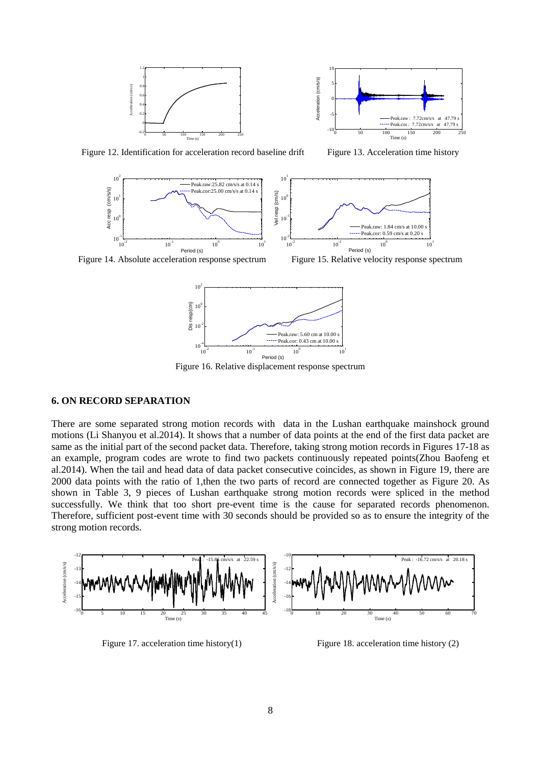



Figure 12. Identification for acceleration record baseline drift Figure 13. Acceleration time history



Figure 14. Absolute acceleration response spectrum Figure 15. Relative velocity response spectrum



Figure 16. Relative displacement response spectrum

#### **6. ON RECORD SEPARATION**

There are some separated strong motion records with data in the Lushan earthquake mainshock ground motions (Li Shanyou et al.2014). It shows that a number of data points at the end of the first data packet are same as the initial part of the second packet data. Therefore, taking strong motion records in Figures 17-18 as an example, program codes are wrote to find two packets continuously repeated points(Zhou Baofeng et al.2014). When the tail and head data of data packet consecutive coincides, as shown in Figure 19, there are 2000 data points with the ratio of 1,then the two parts of record are connected together as Figure 20. As shown in Table 3, 9 pieces of Lushan earthquake strong motion records were spliced in the method successfully. We think that too short pre-event time is the cause for separated records phenomenon. Therefore, sufficient post-event time with 30 seconds should be provided so as to ensure the integrity of the strong motion records.



Figure 17. acceleration time history(1) Figure 18. acceleration time history (2)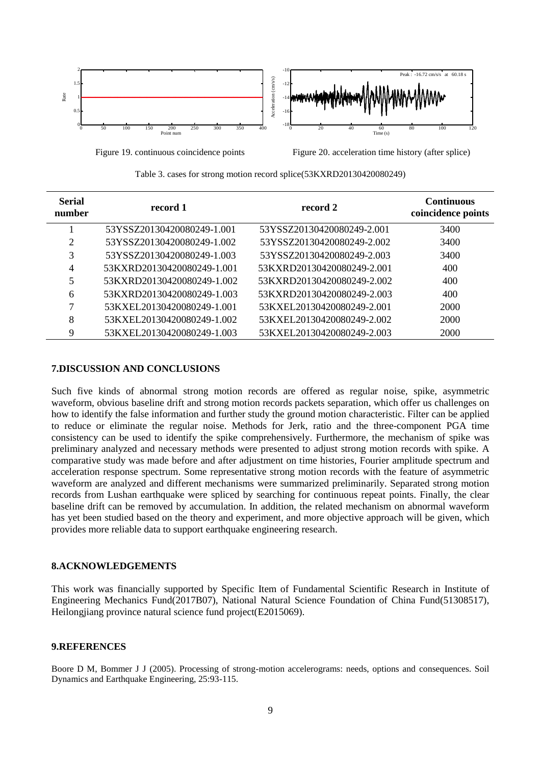

Figure 19. continuous coincidence points Figure 20. acceleration time history (after splice)

| Table 3. cases for strong motion record splice(53KXRD20130420080249) |  |
|----------------------------------------------------------------------|--|
|----------------------------------------------------------------------|--|

| <b>Serial</b><br>number | record 1                   | record 2                   | <b>Continuous</b><br>coincidence points |
|-------------------------|----------------------------|----------------------------|-----------------------------------------|
|                         | 53YSSZ20130420080249-1.001 | 53YSSZ20130420080249-2.001 | 3400                                    |
| 2                       | 53YSSZ20130420080249-1.002 | 53YSSZ20130420080249-2.002 | 3400                                    |
| 3                       | 53YSSZ20130420080249-1.003 | 53YSSZ20130420080249-2.003 | 3400                                    |
| 4                       | 53KXRD20130420080249-1.001 | 53KXRD20130420080249-2.001 | 400                                     |
| 5                       | 53KXRD20130420080249-1.002 | 53KXRD20130420080249-2.002 | 400                                     |
| 6                       | 53KXRD20130420080249-1.003 | 53KXRD20130420080249-2.003 | 400                                     |
| 7                       | 53KXEL20130420080249-1.001 | 53KXEL20130420080249-2.001 | 2000                                    |
| 8                       | 53KXEL20130420080249-1.002 | 53KXEL20130420080249-2.002 | 2000                                    |
| 9                       | 53KXEL20130420080249-1.003 | 53KXEL20130420080249-2.003 | 2000                                    |

## **7.DISCUSSION AND CONCLUSIONS**

Such five kinds of abnormal strong motion records are offered as regular noise, spike, asymmetric waveform, obvious baseline drift and strong motion records packets separation, which offer us challenges on how to identify the false information and further study the ground motion characteristic. Filter can be applied to reduce or eliminate the regular noise. Methods for Jerk, ratio and the three-component PGA time consistency can be used to identify the spike comprehensively. Furthermore, the mechanism of spike was preliminary analyzed and necessary methods were presented to adjust strong motion records with spike. A comparative study was made before and after adjustment on time histories, Fourier amplitude spectrum and acceleration response spectrum. Some representative strong motion records with the feature of asymmetric waveform are analyzed and different mechanisms were summarized preliminarily. Separated strong motion records from Lushan earthquake were spliced by searching for continuous repeat points. Finally, the clear baseline drift can be removed by accumulation. In addition, the related mechanism on abnormal waveform has yet been studied based on the theory and experiment, and more objective approach will be given, which provides more reliable data to support earthquake engineering research.

#### **8.ACKNOWLEDGEMENTS**

This work was financially supported by Specific Item of Fundamental Scientific Research in Institute of Engineering Mechanics Fund(2017B07), National Natural Science Foundation of China Fund(51308517), Heilongjiang province natural science fund project(E2015069).

## **9.REFERENCES**

Boore D M, Bommer J J (2005). Processing of strong-motion accelerograms: needs, options and consequences. Soil Dynamics and Earthquake Engineering, 25:93-115.